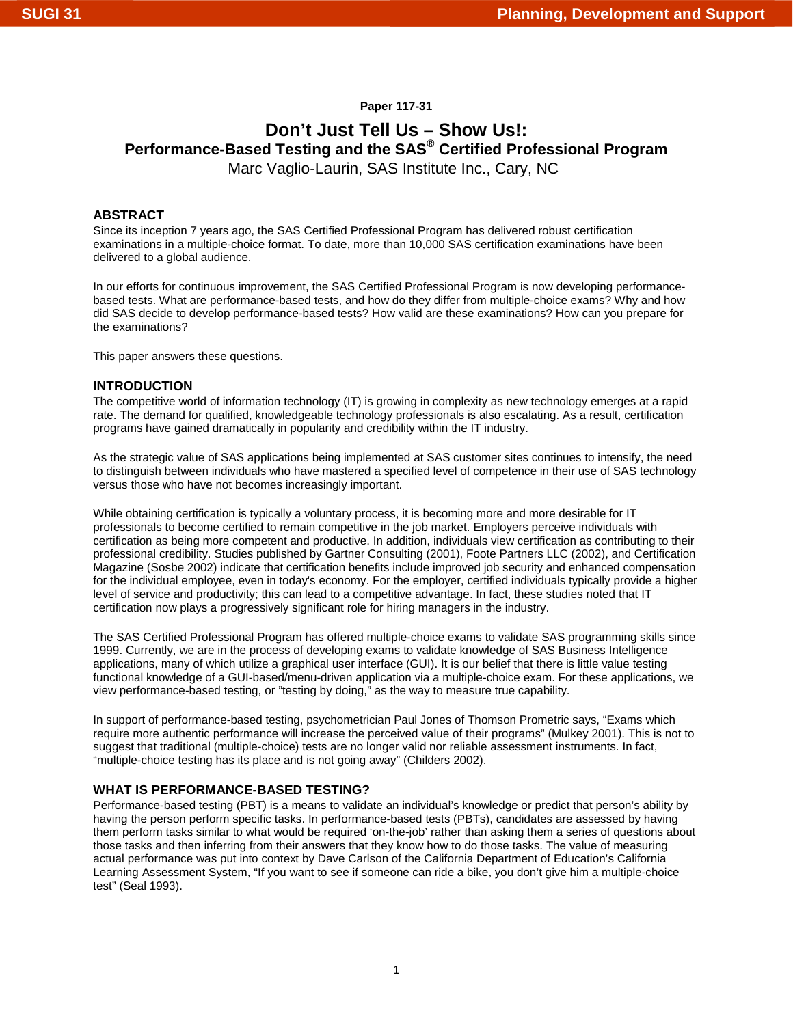# **Paper 117-31**

# **Don't Just Tell Us – Show Us!: Performance-Based Testing and the SAS® Certified Professional Program**  Marc Vaglio-Laurin, SAS Institute Inc., Cary, NC

# **ABSTRACT**

Since its inception 7 years ago, the SAS Certified Professional Program has delivered robust certification examinations in a multiple-choice format. To date, more than 10,000 SAS certification examinations have been delivered to a global audience.

In our efforts for continuous improvement, the SAS Certified Professional Program is now developing performancebased tests. What are performance-based tests, and how do they differ from multiple-choice exams? Why and how did SAS decide to develop performance-based tests? How valid are these examinations? How can you prepare for the examinations?

This paper answers these questions.

## **INTRODUCTION**

The competitive world of information technology (IT) is growing in complexity as new technology emerges at a rapid rate. The demand for qualified, knowledgeable technology professionals is also escalating. As a result, certification programs have gained dramatically in popularity and credibility within the IT industry.

As the strategic value of SAS applications being implemented at SAS customer sites continues to intensify, the need to distinguish between individuals who have mastered a specified level of competence in their use of SAS technology versus those who have not becomes increasingly important.

While obtaining certification is typically a voluntary process, it is becoming more and more desirable for IT professionals to become certified to remain competitive in the job market. Employers perceive individuals with certification as being more competent and productive. In addition, individuals view certification as contributing to their professional credibility. Studies published by Gartner Consulting (2001), Foote Partners LLC (2002), and Certification Magazine (Sosbe 2002) indicate that certification benefits include improved job security and enhanced compensation for the individual employee, even in today's economy. For the employer, certified individuals typically provide a higher level of service and productivity; this can lead to a competitive advantage. In fact, these studies noted that IT certification now plays a progressively significant role for hiring managers in the industry.

The SAS Certified Professional Program has offered multiple-choice exams to validate SAS programming skills since 1999. Currently, we are in the process of developing exams to validate knowledge of SAS Business Intelligence applications, many of which utilize a graphical user interface (GUI). It is our belief that there is little value testing functional knowledge of a GUI-based/menu-driven application via a multiple-choice exam. For these applications, we view performance-based testing, or "testing by doing," as the way to measure true capability.

In support of performance-based testing, psychometrician Paul Jones of Thomson Prometric says, "Exams which require more authentic performance will increase the perceived value of their programs" (Mulkey 2001). This is not to suggest that traditional (multiple-choice) tests are no longer valid nor reliable assessment instruments. In fact, "multiple-choice testing has its place and is not going away" (Childers 2002).

# **WHAT IS PERFORMANCE-BASED TESTING?**

Performance-based testing (PBT) is a means to validate an individual's knowledge or predict that person's ability by having the person perform specific tasks. In performance-based tests (PBTs), candidates are assessed by having them perform tasks similar to what would be required 'on-the-job' rather than asking them a series of questions about those tasks and then inferring from their answers that they know how to do those tasks. The value of measuring actual performance was put into context by Dave Carlson of the California Department of Education's California Learning Assessment System, "If you want to see if someone can ride a bike, you don't give him a multiple-choice test" (Seal 1993).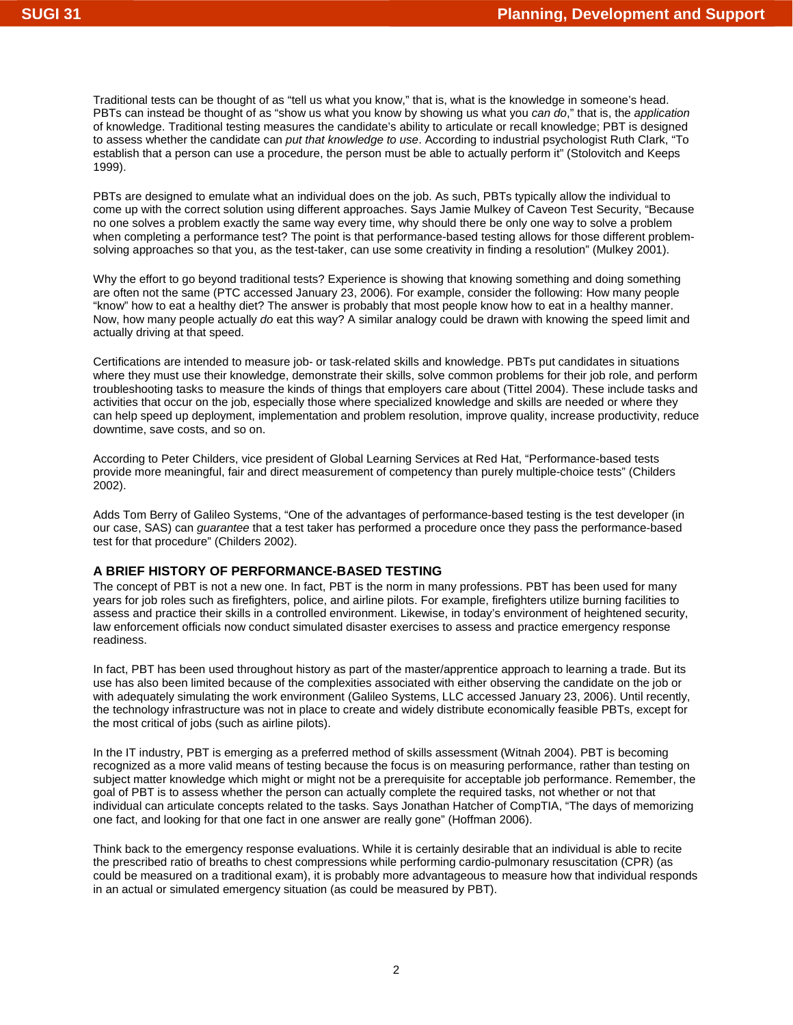Traditional tests can be thought of as "tell us what you know," that is, what is the knowledge in someone's head. PBTs can instead be thought of as "show us what you know by showing us what you *can do*," that is, the *application* of knowledge. Traditional testing measures the candidate's ability to articulate or recall knowledge; PBT is designed to assess whether the candidate can *put that knowledge to use*. According to industrial psychologist Ruth Clark, "To establish that a person can use a procedure, the person must be able to actually perform it" (Stolovitch and Keeps 1999).

PBTs are designed to emulate what an individual does on the job. As such, PBTs typically allow the individual to come up with the correct solution using different approaches. Says Jamie Mulkey of Caveon Test Security, "Because no one solves a problem exactly the same way every time, why should there be only one way to solve a problem when completing a performance test? The point is that performance-based testing allows for those different problemsolving approaches so that you, as the test-taker, can use some creativity in finding a resolution" (Mulkey 2001).

Why the effort to go beyond traditional tests? Experience is showing that knowing something and doing something are often not the same (PTC accessed January 23, 2006). For example, consider the following: How many people "know" how to eat a healthy diet? The answer is probably that most people know how to eat in a healthy manner. Now, how many people actually *do* eat this way? A similar analogy could be drawn with knowing the speed limit and actually driving at that speed.

Certifications are intended to measure job- or task-related skills and knowledge. PBTs put candidates in situations where they must use their knowledge, demonstrate their skills, solve common problems for their job role, and perform troubleshooting tasks to measure the kinds of things that employers care about (Tittel 2004). These include tasks and activities that occur on the job, especially those where specialized knowledge and skills are needed or where they can help speed up deployment, implementation and problem resolution, improve quality, increase productivity, reduce downtime, save costs, and so on.

According to Peter Childers, vice president of Global Learning Services at Red Hat, "Performance-based tests provide more meaningful, fair and direct measurement of competency than purely multiple-choice tests" (Childers 2002).

Adds Tom Berry of Galileo Systems, "One of the advantages of performance-based testing is the test developer (in our case, SAS) can *guarantee* that a test taker has performed a procedure once they pass the performance-based test for that procedure" (Childers 2002).

## **A BRIEF HISTORY OF PERFORMANCE-BASED TESTING**

The concept of PBT is not a new one. In fact, PBT is the norm in many professions. PBT has been used for many years for job roles such as firefighters, police, and airline pilots. For example, firefighters utilize burning facilities to assess and practice their skills in a controlled environment. Likewise, in today's environment of heightened security, law enforcement officials now conduct simulated disaster exercises to assess and practice emergency response readiness.

In fact, PBT has been used throughout history as part of the master/apprentice approach to learning a trade. But its use has also been limited because of the complexities associated with either observing the candidate on the job or with adequately simulating the work environment (Galileo Systems, LLC accessed January 23, 2006). Until recently, the technology infrastructure was not in place to create and widely distribute economically feasible PBTs, except for the most critical of jobs (such as airline pilots).

In the IT industry, PBT is emerging as a preferred method of skills assessment (Witnah 2004). PBT is becoming recognized as a more valid means of testing because the focus is on measuring performance, rather than testing on subject matter knowledge which might or might not be a prerequisite for acceptable job performance. Remember, the goal of PBT is to assess whether the person can actually complete the required tasks, not whether or not that individual can articulate concepts related to the tasks. Says Jonathan Hatcher of CompTIA, "The days of memorizing one fact, and looking for that one fact in one answer are really gone" (Hoffman 2006).

Think back to the emergency response evaluations. While it is certainly desirable that an individual is able to recite the prescribed ratio of breaths to chest compressions while performing cardio-pulmonary resuscitation (CPR) (as could be measured on a traditional exam), it is probably more advantageous to measure how that individual responds in an actual or simulated emergency situation (as could be measured by PBT).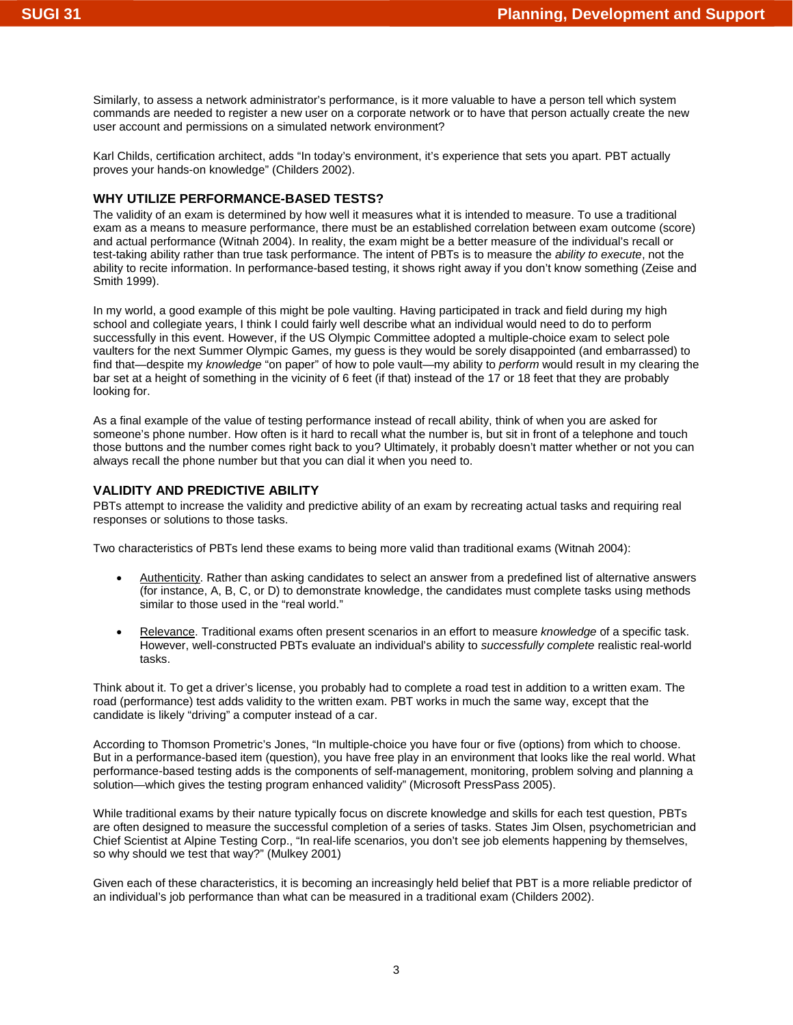Similarly, to assess a network administrator's performance, is it more valuable to have a person tell which system commands are needed to register a new user on a corporate network or to have that person actually create the new user account and permissions on a simulated network environment?

Karl Childs, certification architect, adds "In today's environment, it's experience that sets you apart. PBT actually proves your hands-on knowledge" (Childers 2002).

## **WHY UTILIZE PERFORMANCE-BASED TESTS?**

The validity of an exam is determined by how well it measures what it is intended to measure. To use a traditional exam as a means to measure performance, there must be an established correlation between exam outcome (score) and actual performance (Witnah 2004). In reality, the exam might be a better measure of the individual's recall or test-taking ability rather than true task performance. The intent of PBTs is to measure the *ability to execute*, not the ability to recite information. In performance-based testing, it shows right away if you don't know something (Zeise and Smith 1999).

In my world, a good example of this might be pole vaulting. Having participated in track and field during my high school and collegiate years, I think I could fairly well describe what an individual would need to do to perform successfully in this event. However, if the US Olympic Committee adopted a multiple-choice exam to select pole vaulters for the next Summer Olympic Games, my guess is they would be sorely disappointed (and embarrassed) to find that—despite my *knowledge* "on paper" of how to pole vault—my ability to *perform* would result in my clearing the bar set at a height of something in the vicinity of 6 feet (if that) instead of the 17 or 18 feet that they are probably looking for.

As a final example of the value of testing performance instead of recall ability, think of when you are asked for someone's phone number. How often is it hard to recall what the number is, but sit in front of a telephone and touch those buttons and the number comes right back to you? Ultimately, it probably doesn't matter whether or not you can always recall the phone number but that you can dial it when you need to.

## **VALIDITY AND PREDICTIVE ABILITY**

PBTs attempt to increase the validity and predictive ability of an exam by recreating actual tasks and requiring real responses or solutions to those tasks.

Two characteristics of PBTs lend these exams to being more valid than traditional exams (Witnah 2004):

- Authenticity. Rather than asking candidates to select an answer from a predefined list of alternative answers (for instance, A, B, C, or D) to demonstrate knowledge, the candidates must complete tasks using methods similar to those used in the "real world."
- Relevance. Traditional exams often present scenarios in an effort to measure *knowledge* of a specific task. However, well-constructed PBTs evaluate an individual's ability to *successfully complete* realistic real-world tasks.

Think about it. To get a driver's license, you probably had to complete a road test in addition to a written exam. The road (performance) test adds validity to the written exam. PBT works in much the same way, except that the candidate is likely "driving" a computer instead of a car.

According to Thomson Prometric's Jones, "In multiple-choice you have four or five (options) from which to choose. But in a performance-based item (question), you have free play in an environment that looks like the real world. What performance-based testing adds is the components of self-management, monitoring, problem solving and planning a solution—which gives the testing program enhanced validity" (Microsoft PressPass 2005).

While traditional exams by their nature typically focus on discrete knowledge and skills for each test question, PBTs are often designed to measure the successful completion of a series of tasks. States Jim Olsen, psychometrician and Chief Scientist at Alpine Testing Corp., "In real-life scenarios, you don't see job elements happening by themselves, so why should we test that way?" (Mulkey 2001)

Given each of these characteristics, it is becoming an increasingly held belief that PBT is a more reliable predictor of an individual's job performance than what can be measured in a traditional exam (Childers 2002).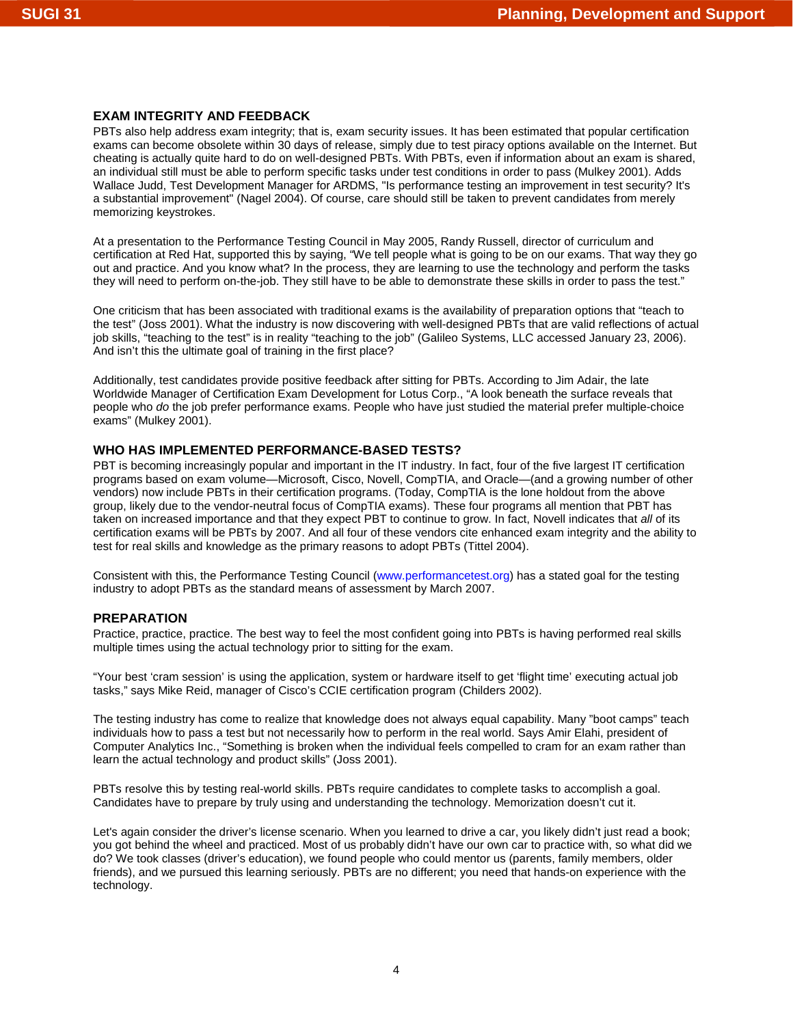# **EXAM INTEGRITY AND FEEDBACK**

PBTs also help address exam integrity; that is, exam security issues. It has been estimated that popular certification exams can become obsolete within 30 days of release, simply due to test piracy options available on the Internet. But cheating is actually quite hard to do on well-designed PBTs. With PBTs, even if information about an exam is shared, an individual still must be able to perform specific tasks under test conditions in order to pass (Mulkey 2001). Adds Wallace Judd, Test Development Manager for ARDMS, "Is performance testing an improvement in test security? It's a substantial improvement" (Nagel 2004). Of course, care should still be taken to prevent candidates from merely memorizing keystrokes.

At a presentation to the Performance Testing Council in May 2005, Randy Russell, director of curriculum and certification at Red Hat, supported this by saying, "We tell people what is going to be on our exams. That way they go out and practice. And you know what? In the process, they are learning to use the technology and perform the tasks they will need to perform on-the-job. They still have to be able to demonstrate these skills in order to pass the test."

One criticism that has been associated with traditional exams is the availability of preparation options that "teach to the test" (Joss 2001). What the industry is now discovering with well-designed PBTs that are valid reflections of actual job skills, "teaching to the test" is in reality "teaching to the job" (Galileo Systems, LLC accessed January 23, 2006). And isn't this the ultimate goal of training in the first place?

Additionally, test candidates provide positive feedback after sitting for PBTs. According to Jim Adair, the late Worldwide Manager of Certification Exam Development for Lotus Corp., "A look beneath the surface reveals that people who *do* the job prefer performance exams. People who have just studied the material prefer multiple-choice exams" (Mulkey 2001).

## **WHO HAS IMPLEMENTED PERFORMANCE-BASED TESTS?**

PBT is becoming increasingly popular and important in the IT industry. In fact, four of the five largest IT certification programs based on exam volume—Microsoft, Cisco, Novell, CompTIA, and Oracle—(and a growing number of other vendors) now include PBTs in their certification programs. (Today, CompTIA is the lone holdout from the above group, likely due to the vendor-neutral focus of CompTIA exams). These four programs all mention that PBT has taken on increased importance and that they expect PBT to continue to grow. In fact, Novell indicates that *all* of its certification exams will be PBTs by 2007. And all four of these vendors cite enhanced exam integrity and the ability to test for real skills and knowledge as the primary reasons to adopt PBTs (Tittel 2004).

Consistent with this, the Performance Testing Council [\(www.performancetest.org\) ha](http://www.performancetest.org)s a stated goal for the testing industry to adopt PBTs as the standard means of assessment by March 2007.

## **PREPARATION**

Practice, practice, practice. The best way to feel the most confident going into PBTs is having performed real skills multiple times using the actual technology prior to sitting for the exam.

"Your best 'cram session' is using the application, system or hardware itself to get 'flight time' executing actual job tasks," says Mike Reid, manager of Cisco's CCIE certification program (Childers 2002).

The testing industry has come to realize that knowledge does not always equal capability. Many "boot camps" teach individuals how to pass a test but not necessarily how to perform in the real world. Says Amir Elahi, president of Computer Analytics Inc., "Something is broken when the individual feels compelled to cram for an exam rather than learn the actual technology and product skills" (Joss 2001).

PBTs resolve this by testing real-world skills. PBTs require candidates to complete tasks to accomplish a goal. Candidates have to prepare by truly using and understanding the technology. Memorization doesn't cut it.

Let's again consider the driver's license scenario. When you learned to drive a car, you likely didn't just read a book; you got behind the wheel and practiced. Most of us probably didn't have our own car to practice with, so what did we do? We took classes (driver's education), we found people who could mentor us (parents, family members, older friends), and we pursued this learning seriously. PBTs are no different; you need that hands-on experience with the technology.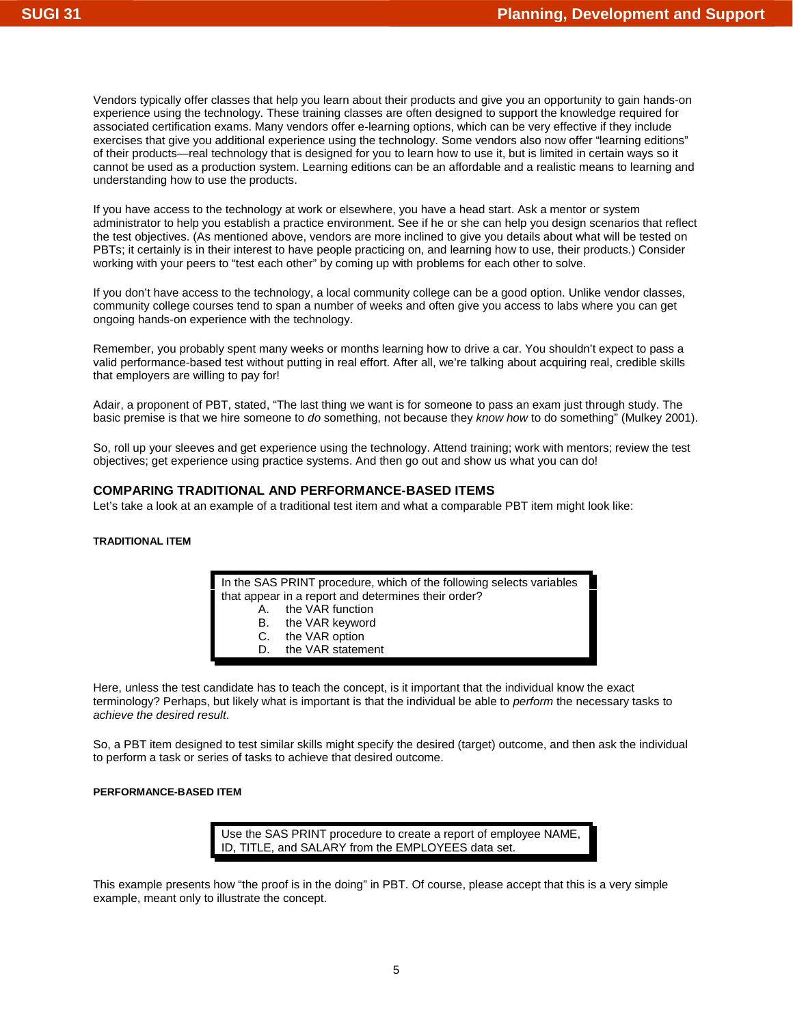Vendors typically offer classes that help you learn about their products and give you an opportunity to gain hands-on experience using the technology. These training classes are often designed to support the knowledge required for associated certification exams. Many vendors offer e-learning options, which can be very effective if they include exercises that give you additional experience using the technology. Some vendors also now offer "learning editions" of their products—real technology that is designed for you to learn how to use it, but is limited in certain ways so it cannot be used as a production system. Learning editions can be an affordable and a realistic means to learning and understanding how to use the products.

If you have access to the technology at work or elsewhere, you have a head start. Ask a mentor or system administrator to help you establish a practice environment. See if he or she can help you design scenarios that reflect the test objectives. (As mentioned above, vendors are more inclined to give you details about what will be tested on PBTs; it certainly is in their interest to have people practicing on, and learning how to use, their products.) Consider working with your peers to "test each other" by coming up with problems for each other to solve.

If you don't have access to the technology, a local community college can be a good option. Unlike vendor classes, community college courses tend to span a number of weeks and often give you access to labs where you can get ongoing hands-on experience with the technology.

Remember, you probably spent many weeks or months learning how to drive a car. You shouldn't expect to pass a valid performance-based test without putting in real effort. After all, we're talking about acquiring real, credible skills that employers are willing to pay for!

Adair, a proponent of PBT, stated, "The last thing we want is for someone to pass an exam just through study. The basic premise is that we hire someone to *do* something, not because they *know how* to do something" (Mulkey 2001).

So, roll up your sleeves and get experience using the technology. Attend training; work with mentors; review the test objectives; get experience using practice systems. And then go out and show us what you can do!

# **COMPARING TRADITIONAL AND PERFORMANCE-BASED ITEMS**

Let's take a look at an example of a traditional test item and what a comparable PBT item might look like:

#### **TRADITIONAL ITEM**

In the SAS PRINT procedure, which of the following selects variables that appear in a report and determines their order?

- A. the VAR function
- B. the VAR keyword
- C. the VAR option
- D. the VAR statement

Here, unless the test candidate has to teach the concept, is it important that the individual know the exact terminology? Perhaps, but likely what is important is that the individual be able to *perform* the necessary tasks to *achieve the desired result*.

So, a PBT item designed to test similar skills might specify the desired (target) outcome, and then ask the individual to perform a task or series of tasks to achieve that desired outcome.

### **PERFORMANCE-BASED ITEM**

Use the SAS PRINT procedure to create a report of employee NAME, ID, TITLE, and SALARY from the EMPLOYEES data set.

This example presents how "the proof is in the doing" in PBT. Of course, please accept that this is a very simple example, meant only to illustrate the concept.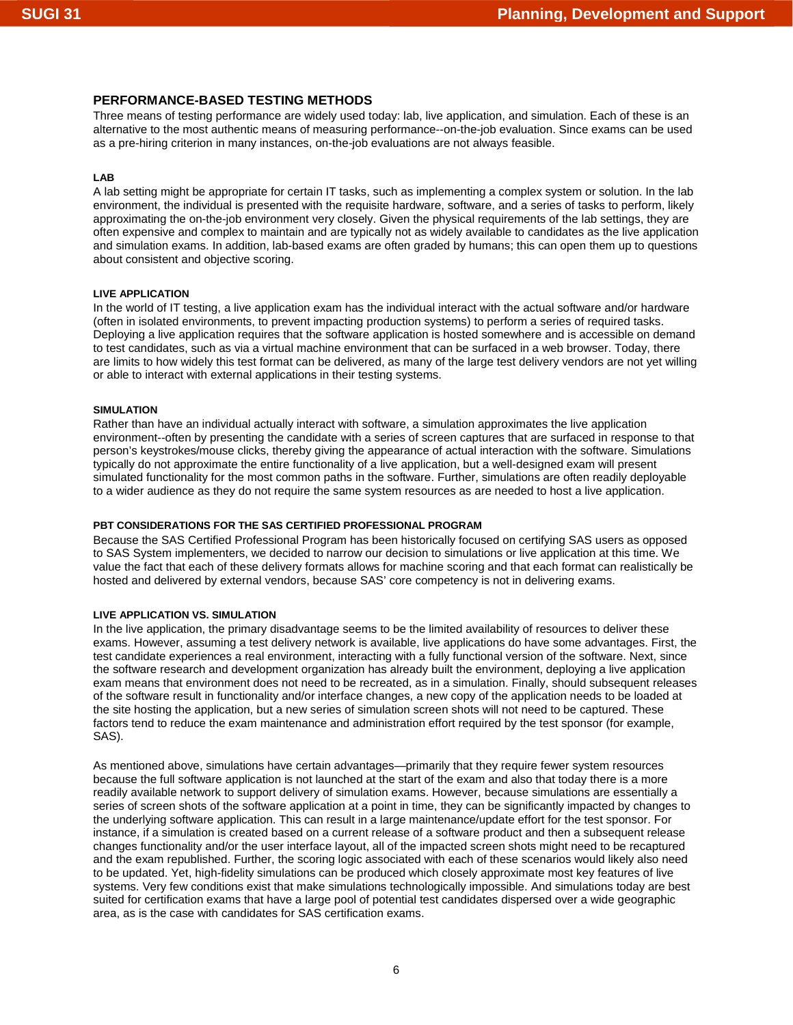## **PERFORMANCE-BASED TESTING METHODS**

Three means of testing performance are widely used today: lab, live application, and simulation. Each of these is an alternative to the most authentic means of measuring performance--on-the-job evaluation. Since exams can be used as a pre-hiring criterion in many instances, on-the-job evaluations are not always feasible.

#### **LAB**

A lab setting might be appropriate for certain IT tasks, such as implementing a complex system or solution. In the lab environment, the individual is presented with the requisite hardware, software, and a series of tasks to perform, likely approximating the on-the-job environment very closely. Given the physical requirements of the lab settings, they are often expensive and complex to maintain and are typically not as widely available to candidates as the live application and simulation exams. In addition, lab-based exams are often graded by humans; this can open them up to questions about consistent and objective scoring.

### **LIVE APPLICATION**

In the world of IT testing, a live application exam has the individual interact with the actual software and/or hardware (often in isolated environments, to prevent impacting production systems) to perform a series of required tasks. Deploying a live application requires that the software application is hosted somewhere and is accessible on demand to test candidates, such as via a virtual machine environment that can be surfaced in a web browser. Today, there are limits to how widely this test format can be delivered, as many of the large test delivery vendors are not yet willing or able to interact with external applications in their testing systems.

#### **SIMULATION**

Rather than have an individual actually interact with software, a simulation approximates the live application environment--often by presenting the candidate with a series of screen captures that are surfaced in response to that person's keystrokes/mouse clicks, thereby giving the appearance of actual interaction with the software. Simulations typically do not approximate the entire functionality of a live application, but a well-designed exam will present simulated functionality for the most common paths in the software. Further, simulations are often readily deployable to a wider audience as they do not require the same system resources as are needed to host a live application.

#### **PBT CONSIDERATIONS FOR THE SAS CERTIFIED PROFESSIONAL PROGRAM**

Because the SAS Certified Professional Program has been historically focused on certifying SAS users as opposed to SAS System implementers, we decided to narrow our decision to simulations or live application at this time. We value the fact that each of these delivery formats allows for machine scoring and that each format can realistically be hosted and delivered by external vendors, because SAS' core competency is not in delivering exams.

#### **LIVE APPLICATION VS. SIMULATION**

In the live application, the primary disadvantage seems to be the limited availability of resources to deliver these exams. However, assuming a test delivery network is available, live applications do have some advantages. First, the test candidate experiences a real environment, interacting with a fully functional version of the software. Next, since the software research and development organization has already built the environment, deploying a live application exam means that environment does not need to be recreated, as in a simulation. Finally, should subsequent releases of the software result in functionality and/or interface changes, a new copy of the application needs to be loaded at the site hosting the application, but a new series of simulation screen shots will not need to be captured. These factors tend to reduce the exam maintenance and administration effort required by the test sponsor (for example, SAS).

As mentioned above, simulations have certain advantages—primarily that they require fewer system resources because the full software application is not launched at the start of the exam and also that today there is a more readily available network to support delivery of simulation exams. However, because simulations are essentially a series of screen shots of the software application at a point in time, they can be significantly impacted by changes to the underlying software application. This can result in a large maintenance/update effort for the test sponsor. For instance, if a simulation is created based on a current release of a software product and then a subsequent release changes functionality and/or the user interface layout, all of the impacted screen shots might need to be recaptured and the exam republished. Further, the scoring logic associated with each of these scenarios would likely also need to be updated. Yet, high-fidelity simulations can be produced which closely approximate most key features of live systems. Very few conditions exist that make simulations technologically impossible. And simulations today are best suited for certification exams that have a large pool of potential test candidates dispersed over a wide geographic area, as is the case with candidates for SAS certification exams.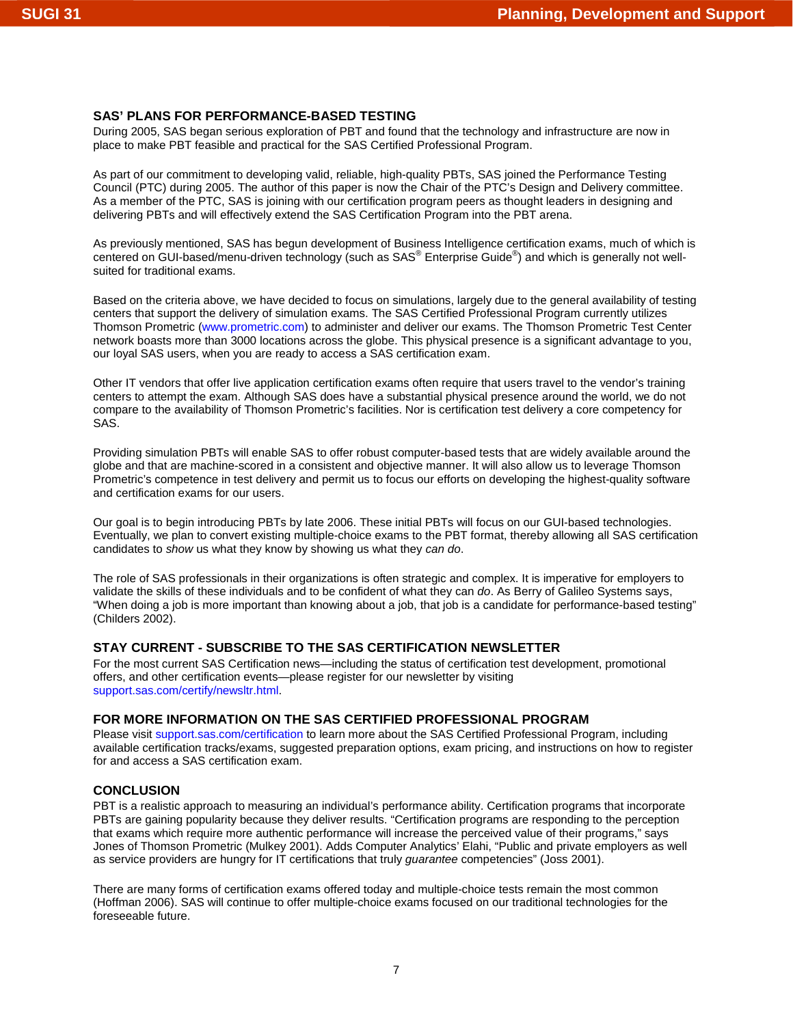# **SAS' PLANS FOR PERFORMANCE-BASED TESTING**

During 2005, SAS began serious exploration of PBT and found that the technology and infrastructure are now in place to make PBT feasible and practical for the SAS Certified Professional Program.

As part of our commitment to developing valid, reliable, high-quality PBTs, SAS joined the Performance Testing Council (PTC) during 2005. The author of this paper is now the Chair of the PTC's Design and Delivery committee. As a member of the PTC, SAS is joining with our certification program peers as thought leaders in designing and delivering PBTs and will effectively extend the SAS Certification Program into the PBT arena.

As previously mentioned, SAS has begun development of Business Intelligence certification exams, much of which is centered on GUI-based/menu-driven technology (such as SAS® Enterprise Guide®) and which is generally not wellsuited for traditional exams.

Based on the criteria above, we have decided to focus on simulations, largely due to the general availability of testing centers that support the delivery of simulation exams. The SAS Certified Professional Program currently utilizes Thomson Prometric [\(www.prometric.com\) to](http://www.prometric.com) administer and deliver our exams. The Thomson Prometric Test Center network boasts more than 3000 locations across the globe. This physical presence is a significant advantage to you, our loyal SAS users, when you are ready to access a SAS certification exam.

Other IT vendors that offer live application certification exams often require that users travel to the vendor's training centers to attempt the exam. Although SAS does have a substantial physical presence around the world, we do not compare to the availability of Thomson Prometric's facilities. Nor is certification test delivery a core competency for SAS.

Providing simulation PBTs will enable SAS to offer robust computer-based tests that are widely available around the globe and that are machine-scored in a consistent and objective manner. It will also allow us to leverage Thomson Prometric's competence in test delivery and permit us to focus our efforts on developing the highest-quality software and certification exams for our users.

Our goal is to begin introducing PBTs by late 2006. These initial PBTs will focus on our GUI-based technologies. Eventually, we plan to convert existing multiple-choice exams to the PBT format, thereby allowing all SAS certification candidates to *show* us what they know by showing us what they *can do*.

The role of SAS professionals in their organizations is often strategic and complex. It is imperative for employers to validate the skills of these individuals and to be confident of what they can *do*. As Berry of Galileo Systems says, "When doing a job is more important than knowing about a job, that job is a candidate for performance-based testing" (Childers 2002).

# **STAY CURRENT - SUBSCRIBE TO THE SAS CERTIFICATION NEWSLETTER**

For the most current SAS Certification news—including the status of certification test development, promotional offers, and other certification events—please register for our newsletter by visiting [support.sas.com/certify/newsltr.html.](http://support.sas.com/certify/newsltr.html) 

# **FOR MORE INFORMATION ON THE SAS CERTIFIED PROFESSIONAL PROGRAM**

Please vis[it support.sas.com/certification t](http://support.sas.com/certification)o learn more about the SAS Certified Professional Program, including available certification tracks/exams, suggested preparation options, exam pricing, and instructions on how to register for and access a SAS certification exam.

# **CONCLUSION**

PBT is a realistic approach to measuring an individual's performance ability. Certification programs that incorporate PBTs are gaining popularity because they deliver results. "Certification programs are responding to the perception that exams which require more authentic performance will increase the perceived value of their programs," says Jones of Thomson Prometric (Mulkey 2001). Adds Computer Analytics' Elahi, "Public and private employers as well as service providers are hungry for IT certifications that truly *guarantee* competencies" (Joss 2001).

There are many forms of certification exams offered today and multiple-choice tests remain the most common (Hoffman 2006). SAS will continue to offer multiple-choice exams focused on our traditional technologies for the foreseeable future.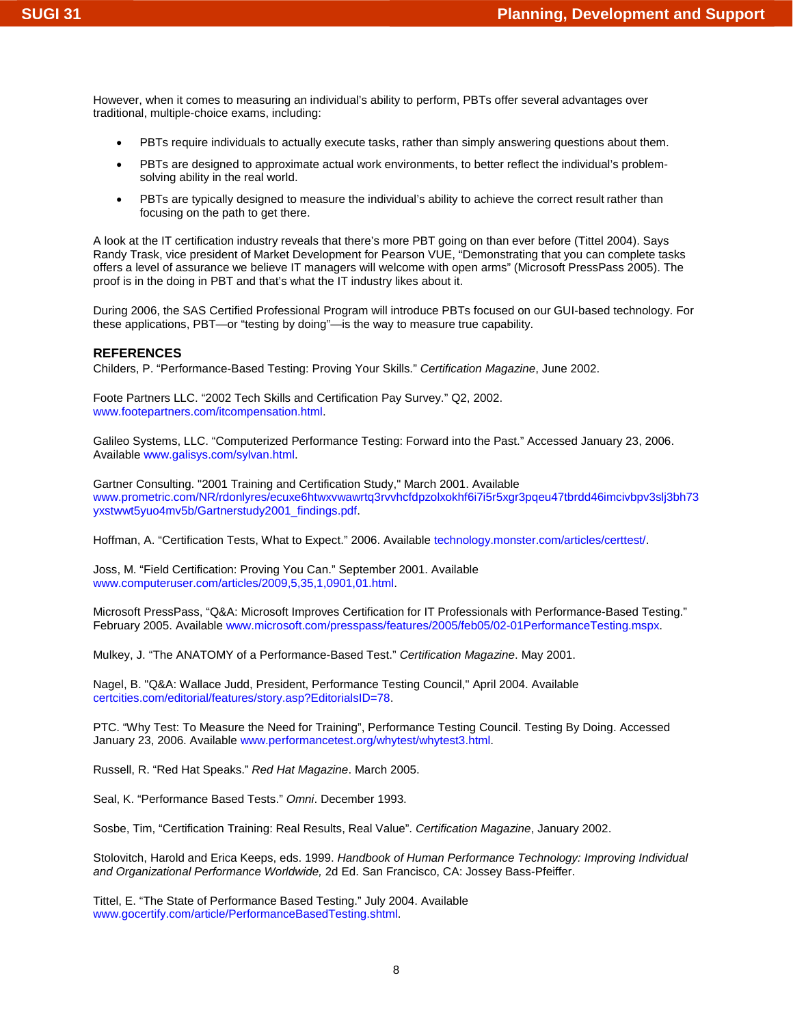However, when it comes to measuring an individual's ability to perform, PBTs offer several advantages over traditional, multiple-choice exams, including:

- PBTs require individuals to actually execute tasks, rather than simply answering questions about them.
- PBTs are designed to approximate actual work environments, to better reflect the individual's problemsolving ability in the real world.
- PBTs are typically designed to measure the individual's ability to achieve the correct result rather than focusing on the path to get there.

A look at the IT certification industry reveals that there's more PBT going on than ever before (Tittel 2004). Says Randy Trask, vice president of Market Development for Pearson VUE, "Demonstrating that you can complete tasks offers a level of assurance we believe IT managers will welcome with open arms" (Microsoft PressPass 2005). The proof is in the doing in PBT and that's what the IT industry likes about it.

During 2006, the SAS Certified Professional Program will introduce PBTs focused on our GUI-based technology. For these applications, PBT—or "testing by doing"—is the way to measure true capability.

#### **REFERENCES**

Childers, P. "Performance-Based Testing: Proving Your Skills." *Certification Magazine*, June 2002.

Foote Partners LLC. "2002 Tech Skills and Certification Pay Survey." Q2, 2002. [www.footepartners.com/itcompensation.html.](http://www.footepartners.com/itcompensation.html) 

Galileo Systems, LLC. "Computerized Performance Testing: Forward into the Past." Accessed January 23, 2006. Availabl[e www.galisys.com/sylvan.html.](http://www.galisys.com/sylvan.html) 

Gartner Consulting. "2001 Training and Certification Study," March 2001. Available [www.prometric.com/NR/rdonlyres/ecuxe6htwxvwawrtq3rvvhcfdpzolxokhf6i7i5r5xgr3pqeu47tbrdd46imcivbpv3slj3bh73](http://www.prometric.com/NR/rdonlyres/ecuxe6htwxvwawrtq3rvvhcfdpzolxokhf6i7i5r5xgr3pqeu47tbrdd46imcivbpv3slj3bh73yxstwwt5yuo4mv5b/Gartnerstudy2001_findings.pdf) yxstwwt5yuo4mv5b/Gartnerstudy2001\_findings.pdf.

Hoffman, A. "Certification Tests, What to Expect." 2006. Available [technology.monster.com/articles/certtest/.](http://technology.monster.com/articles/certtest/) 

Joss, M. "Field Certification: Proving You Can." September 2001. Available [www.computeruser.com/articles/2009,5,35,1,0901,01.html.](http://www.computeruser.com/articles/2009,5,35,1,0901,01.html) 

Microsoft PressPass, "Q&A: Microsoft Improves Certification for IT Professionals with Performance-Based Testing." February 2005. Available [www.microsoft.com/presspass/features/2005/feb05/02-01PerformanceTesting.mspx.](http://www.microsoft.com/presspass/features/2005/feb05/02-01PerformanceTesting.mspx) 

Mulkey, J. "The ANATOMY of a Performance-Based Test." *Certification Magazine*. May 2001.

Nagel, B. "Q&A: Wallace Judd, President, Performance Testing Council," April 2004. Available [certcities.com/editorial/features/story.asp?EditorialsID=78.](http://certcities.com/editorial/features/story.asp?EditorialsID=78) 

PTC. "Why Test: To Measure the Need for Training", Performance Testing Council. Testing By Doing. Accessed January 23, 2006. Availabl[e www.performancetest.org/whytest/whytest3.html.](http://www.performancetest.org/whytest/whytest3.html) 

Russell, R. "Red Hat Speaks." *Red Hat Magazine*. March 2005.

Seal, K. "Performance Based Tests." *Omni*. December 1993.

Sosbe, Tim, "Certification Training: Real Results, Real Value". *Certification Magazine*, January 2002.

Stolovitch, Harold and Erica Keeps, eds. 1999. *Handbook of Human Performance Technology: Improving Individual and Organizational Performance Worldwide,* 2d Ed. San Francisco, CA: Jossey Bass-Pfeiffer.

Tittel, E. "The State of Performance Based Testing." July 2004. Available [www.gocertify.com/article/PerformanceBasedTesting.shtml.](http://www.gocertify.com/article/PerformanceBasedTesting.shtml)